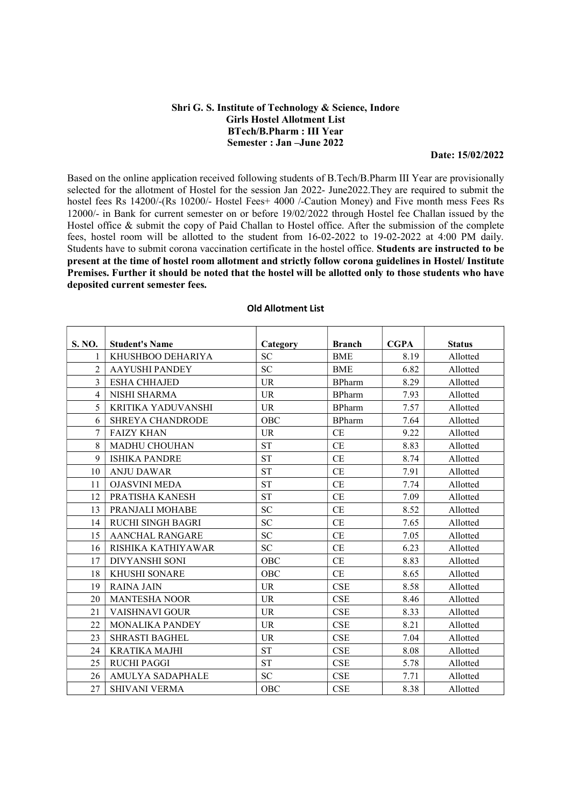## Shri G. S. Institute of Technology & Science, Indore Girls Hostel Allotment List BTech/B.Pharm : III Year Semester : Jan –June 2022

## Date: 15/02/2022

Based on the online application received following students of B.Tech/B.Pharm III Year are provisionally selected for the allotment of Hostel for the session Jan 2022- June2022.They are required to submit the hostel fees Rs 14200/-(Rs 10200/- Hostel Fees+ 4000 /-Caution Money) and Five month mess Fees Rs 12000/- in Bank for current semester on or before 19/02/2022 through Hostel fee Challan issued by the Hostel office & submit the copy of Paid Challan to Hostel office. After the submission of the complete fees, hostel room will be allotted to the student from 16-02-2022 to 19-02-2022 at 4:00 PM daily. Students have to submit corona vaccination certificate in the hostel office. Students are instructed to be present at the time of hostel room allotment and strictly follow corona guidelines in Hostel/ Institute Premises. Further it should be noted that the hostel will be allotted only to those students who have deposited current semester fees.

| S. NO.         | <b>Student's Name</b>    | Category   | <b>Branch</b> | <b>CGPA</b> | <b>Status</b> |
|----------------|--------------------------|------------|---------------|-------------|---------------|
|                | KHUSHBOO DEHARIYA        | <b>SC</b>  | <b>BME</b>    | 8.19        | Allotted      |
| $\mathfrak{D}$ | <b>AAYUSHI PANDEY</b>    | <b>SC</b>  | <b>BME</b>    | 6.82        | Allotted      |
| 3              | <b>ESHA CHHAJED</b>      | <b>UR</b>  | <b>BPharm</b> | 8.29        | Allotted      |
| 4              | <b>NISHI SHARMA</b>      | <b>UR</b>  | <b>BPharm</b> | 7.93        | Allotted      |
| 5              | KRITIKA YADUVANSHI       | <b>UR</b>  | <b>BPharm</b> | 7.57        | Allotted      |
| 6              | <b>SHREYA CHANDRODE</b>  | OBC        | <b>BPharm</b> | 7.64        | Allotted      |
| $\overline{7}$ | <b>FAIZY KHAN</b>        | <b>UR</b>  | CE            | 9.22        | Allotted      |
| 8              | <b>MADHU CHOUHAN</b>     | <b>ST</b>  | CE            | 8.83        | Allotted      |
| 9              | <b>ISHIKA PANDRE</b>     | <b>ST</b>  | CE            | 8.74        | Allotted      |
| 10             | <b>ANJU DAWAR</b>        | <b>ST</b>  | CE            | 7.91        | Allotted      |
| 11             | <b>OJASVINI MEDA</b>     | <b>ST</b>  | CE            | 7.74        | Allotted      |
| 12             | PRATISHA KANESH          | <b>ST</b>  | CE            | 7.09        | Allotted      |
| 13             | PRANJALI MOHABE          | <b>SC</b>  | CE            | 8.52        | Allotted      |
| 14             | <b>RUCHI SINGH BAGRI</b> | <b>SC</b>  | CE            | 7.65        | Allotted      |
| 15             | <b>AANCHAL RANGARE</b>   | <b>SC</b>  | CE            | 7.05        | Allotted      |
| 16             | RISHIKA KATHIYAWAR       | <b>SC</b>  | CE            | 6.23        | Allotted      |
| 17             | <b>DIVYANSHI SONI</b>    | OBC        | CE            | 8.83        | Allotted      |
| 18             | KHUSHI SONARE            | OBC        | CE            | 8.65        | Allotted      |
| 19             | <b>RAINA JAIN</b>        | <b>UR</b>  | <b>CSE</b>    | 8.58        | Allotted      |
| 20             | <b>MANTESHA NOOR</b>     | <b>UR</b>  | CSE           | 8.46        | Allotted      |
| 21             | <b>VAISHNAVI GOUR</b>    | <b>UR</b>  | CSE           | 8.33        | Allotted      |
| 22             | <b>MONALIKA PANDEY</b>   | <b>UR</b>  | CSE           | 8.21        | Allotted      |
| 23             | <b>SHRASTI BAGHEL</b>    | <b>UR</b>  | CSE           | 7.04        | Allotted      |
| 24             | <b>KRATIKA MAJHI</b>     | <b>ST</b>  | CSE           | 8.08        | Allotted      |
| 25             | <b>RUCHI PAGGI</b>       | <b>ST</b>  | CSE           | 5.78        | Allotted      |
| 26             | <b>AMULYA SADAPHALE</b>  | <b>SC</b>  | CSE           | 7.71        | Allotted      |
| 27             | <b>SHIVANI VERMA</b>     | <b>OBC</b> | <b>CSE</b>    | 8.38        | Allotted      |

### Old Allotment List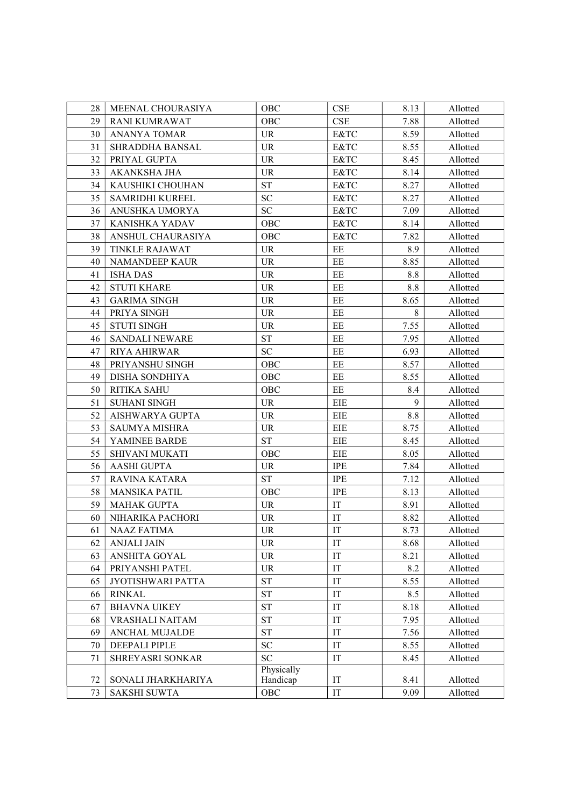| 28 | MEENAL CHOURASIYA      | OBC                               | <b>CSE</b> | 8.13 | Allotted |
|----|------------------------|-----------------------------------|------------|------|----------|
| 29 | <b>RANI KUMRAWAT</b>   | OBC                               | CSE        | 7.88 | Allotted |
| 30 | ANANYA TOMAR           | <b>UR</b>                         | E&TC       | 8.59 | Allotted |
| 31 | SHRADDHA BANSAL        | <b>UR</b>                         | E&TC       | 8.55 | Allotted |
| 32 | PRIYAL GUPTA           | <b>UR</b>                         | E&TC       | 8.45 | Allotted |
| 33 | AKANKSHA JHA           | <b>UR</b>                         | E&TC       | 8.14 | Allotted |
| 34 | KAUSHIKI CHOUHAN       | <b>ST</b>                         | E&TC       | 8.27 | Allotted |
| 35 | <b>SAMRIDHI KUREEL</b> | ${\rm SC}$                        | E&TC       | 8.27 | Allotted |
| 36 | ANUSHKA UMORYA         | ${\rm SC}$                        | E&TC       | 7.09 | Allotted |
| 37 | KANISHKA YADAV         | OBC                               | E&TC       | 8.14 | Allotted |
| 38 | ANSHUL CHAURASIYA      | OBC                               | E&TC       | 7.82 | Allotted |
| 39 | TINKLE RAJAWAT         | <b>UR</b>                         | $\rm EE$   | 8.9  | Allotted |
| 40 | NAMANDEEP KAUR         | <b>UR</b>                         | EE         | 8.85 | Allotted |
| 41 | <b>ISHA DAS</b>        | <b>UR</b>                         | $\rm EE$   | 8.8  | Allotted |
| 42 | <b>STUTI KHARE</b>     | <b>UR</b>                         | EE         | 8.8  | Allotted |
| 43 | <b>GARIMA SINGH</b>    | <b>UR</b>                         | $\rm EE$   | 8.65 | Allotted |
| 44 | PRIYA SINGH            | <b>UR</b>                         | $\rm EE$   | 8    | Allotted |
| 45 | <b>STUTI SINGH</b>     | <b>UR</b>                         | EE         | 7.55 | Allotted |
| 46 | SANDALI NEWARE         | ${\cal S}{\cal T}$                | EE         | 7.95 | Allotted |
| 47 | <b>RIYA AHIRWAR</b>    | <b>SC</b>                         | $\rm EE$   | 6.93 | Allotted |
| 48 | PRIYANSHU SINGH        | OBC                               | $\rm EE$   | 8.57 | Allotted |
| 49 | <b>DISHA SONDHIYA</b>  | OBC                               | EE         | 8.55 | Allotted |
| 50 | <b>RITIKA SAHU</b>     | OBC                               | $\rm EE$   | 8.4  | Allotted |
| 51 | <b>SUHANI SINGH</b>    | <b>UR</b>                         | EIE        | 9    | Allotted |
| 52 | AISHWARYA GUPTA        | <b>UR</b>                         | EIE        | 8.8  | Allotted |
| 53 | SAUMYA MISHRA          | <b>UR</b>                         | EIE        | 8.75 | Allotted |
| 54 | YAMINEE BARDE          | $\operatorname{ST}$               | EIE        | 8.45 | Allotted |
| 55 | SHIVANI MUKATI         | OBC                               | EIE        | 8.05 | Allotted |
| 56 | <b>AASHI GUPTA</b>     | <b>UR</b>                         | <b>IPE</b> | 7.84 | Allotted |
| 57 | RAVINA KATARA          | $\operatorname{ST}$               | <b>IPE</b> | 7.12 | Allotted |
| 58 | <b>MANSIKA PATIL</b>   | OBC                               | <b>IPE</b> | 8.13 | Allotted |
| 59 | <b>MAHAK GUPTA</b>     | <b>UR</b>                         | IT         | 8.91 | Allotted |
| 60 | NIHARIKA PACHORI       | UR                                | IT         | 8.82 | Allotted |
| 61 | <b>NAAZ FATIMA</b>     | $\ensuremath{\mathsf{UR}}\xspace$ | ${\rm IT}$ | 8.73 | Allotted |
| 62 | <b>ANJALI JAIN</b>     | <b>UR</b>                         | IT         | 8.68 | Allotted |
| 63 | ANSHITA GOYAL          | <b>UR</b>                         | IT         | 8.21 | Allotted |
| 64 | PRIYANSHI PATEL        | <b>UR</b>                         | IT         | 8.2  | Allotted |
| 65 | JYOTISHWARI PATTA      | <b>ST</b>                         | IT         | 8.55 | Allotted |
| 66 | <b>RINKAL</b>          | <b>ST</b>                         | IT         | 8.5  | Allotted |
| 67 | <b>BHAVNA UIKEY</b>    | ${\cal S}{\cal T}$                | IT         | 8.18 | Allotted |
| 68 | VRASHALI NAITAM        | <b>ST</b>                         | IT         | 7.95 | Allotted |
| 69 | <b>ANCHAL MUJALDE</b>  | <b>ST</b>                         | IT         | 7.56 | Allotted |
| 70 | DEEPALI PIPLE          | ${\rm SC}$                        | IT         | 8.55 | Allotted |
| 71 | SHREYASRI SONKAR       | SC                                | IT         | 8.45 | Allotted |
|    |                        | Physically                        |            |      |          |
| 72 | SONALI JHARKHARIYA     | Handicap                          | IT         | 8.41 | Allotted |
| 73 | <b>SAKSHI SUWTA</b>    | OBC                               | IT         | 9.09 | Allotted |